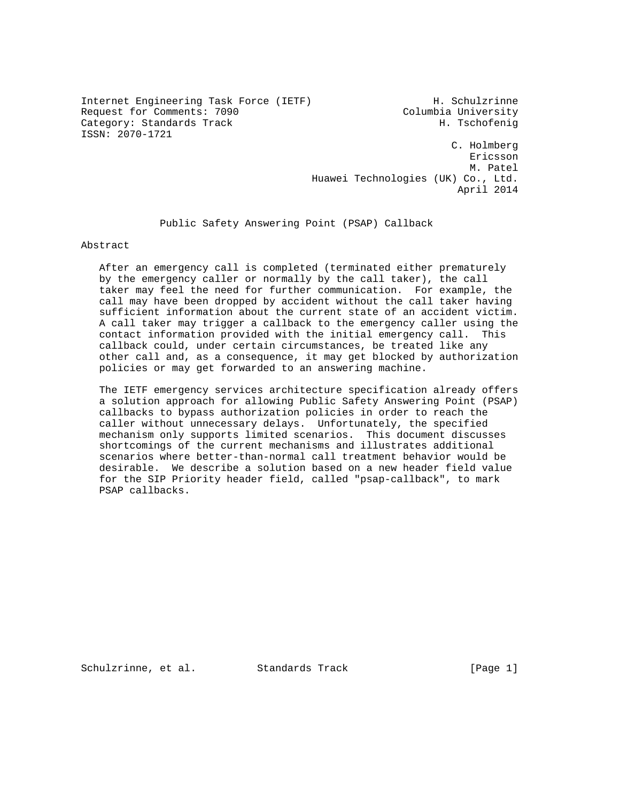Internet Engineering Task Force (IETF) H. Schulzrinne Request for Comments: 7090 Columbia University Category: Standards Track H. Tschofenig ISSN: 2070-1721

 C. Holmberg Ericsson M. Patel Huawei Technologies (UK) Co., Ltd. April 2014

Public Safety Answering Point (PSAP) Callback

Abstract

 After an emergency call is completed (terminated either prematurely by the emergency caller or normally by the call taker), the call taker may feel the need for further communication. For example, the call may have been dropped by accident without the call taker having sufficient information about the current state of an accident victim. A call taker may trigger a callback to the emergency caller using the contact information provided with the initial emergency call. This callback could, under certain circumstances, be treated like any other call and, as a consequence, it may get blocked by authorization policies or may get forwarded to an answering machine.

 The IETF emergency services architecture specification already offers a solution approach for allowing Public Safety Answering Point (PSAP) callbacks to bypass authorization policies in order to reach the caller without unnecessary delays. Unfortunately, the specified mechanism only supports limited scenarios. This document discusses shortcomings of the current mechanisms and illustrates additional scenarios where better-than-normal call treatment behavior would be desirable. We describe a solution based on a new header field value for the SIP Priority header field, called "psap-callback", to mark PSAP callbacks.

Schulzrinne, et al. Standards Track [Page 1]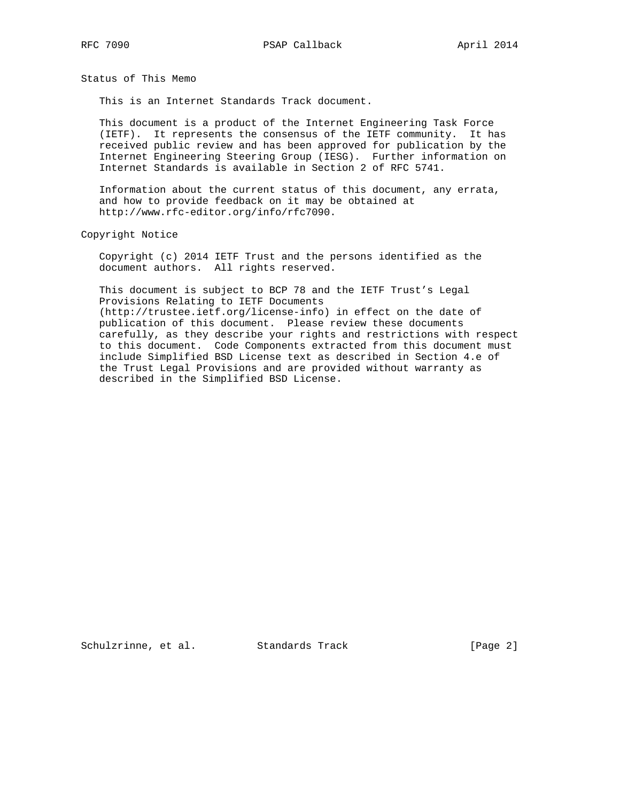Status of This Memo

This is an Internet Standards Track document.

 This document is a product of the Internet Engineering Task Force (IETF). It represents the consensus of the IETF community. It has received public review and has been approved for publication by the Internet Engineering Steering Group (IESG). Further information on Internet Standards is available in Section 2 of RFC 5741.

 Information about the current status of this document, any errata, and how to provide feedback on it may be obtained at http://www.rfc-editor.org/info/rfc7090.

Copyright Notice

 Copyright (c) 2014 IETF Trust and the persons identified as the document authors. All rights reserved.

 This document is subject to BCP 78 and the IETF Trust's Legal Provisions Relating to IETF Documents (http://trustee.ietf.org/license-info) in effect on the date of publication of this document. Please review these documents carefully, as they describe your rights and restrictions with respect to this document. Code Components extracted from this document must include Simplified BSD License text as described in Section 4.e of the Trust Legal Provisions and are provided without warranty as described in the Simplified BSD License.

Schulzrinne, et al. Standards Track [Page 2]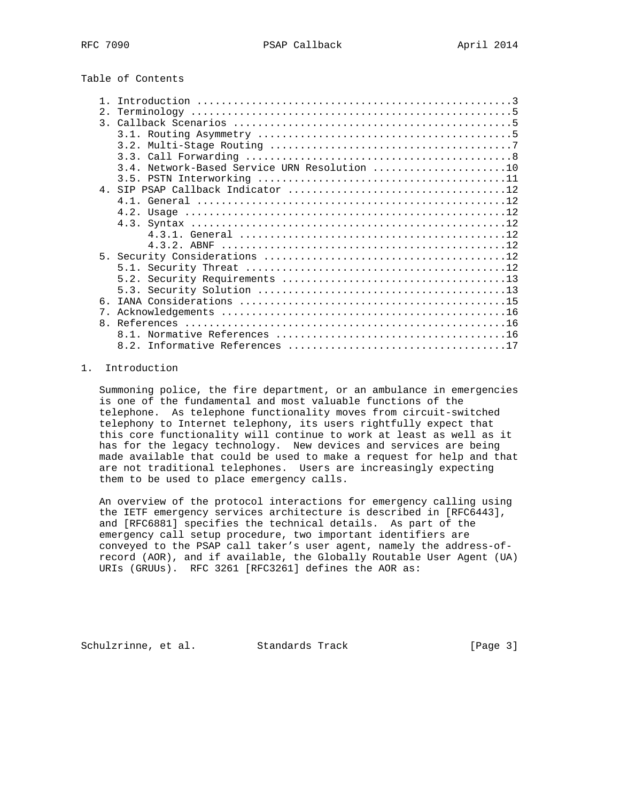# Table of Contents

| 2.             |     |
|----------------|-----|
| $\mathcal{R}$  |     |
|                |     |
|                |     |
|                |     |
|                |     |
|                |     |
|                |     |
|                | 4 1 |
|                |     |
|                |     |
|                |     |
|                |     |
|                |     |
|                |     |
|                |     |
|                |     |
| 6.             |     |
| 7 <sub>1</sub> |     |
| 8 <sub>1</sub> |     |
|                |     |
|                |     |
|                |     |

## 1. Introduction

 Summoning police, the fire department, or an ambulance in emergencies is one of the fundamental and most valuable functions of the telephone. As telephone functionality moves from circuit-switched telephony to Internet telephony, its users rightfully expect that this core functionality will continue to work at least as well as it has for the legacy technology. New devices and services are being made available that could be used to make a request for help and that are not traditional telephones. Users are increasingly expecting them to be used to place emergency calls.

 An overview of the protocol interactions for emergency calling using the IETF emergency services architecture is described in [RFC6443], and [RFC6881] specifies the technical details. As part of the emergency call setup procedure, two important identifiers are conveyed to the PSAP call taker's user agent, namely the address-of record (AOR), and if available, the Globally Routable User Agent (UA) URIs (GRUUs). RFC 3261 [RFC3261] defines the AOR as:

Schulzrinne, et al. Standards Track [Page 3]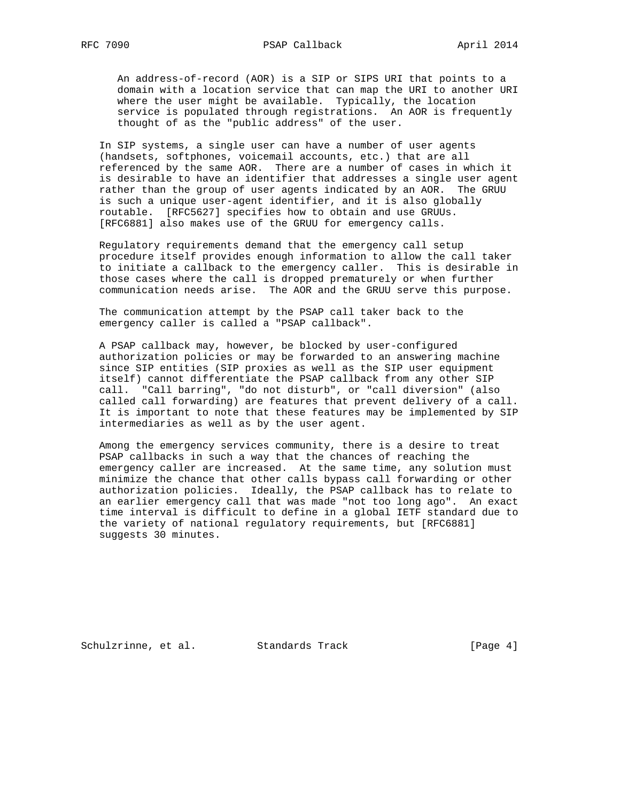An address-of-record (AOR) is a SIP or SIPS URI that points to a domain with a location service that can map the URI to another URI where the user might be available. Typically, the location service is populated through registrations. An AOR is frequently thought of as the "public address" of the user.

 In SIP systems, a single user can have a number of user agents (handsets, softphones, voicemail accounts, etc.) that are all referenced by the same AOR. There are a number of cases in which it is desirable to have an identifier that addresses a single user agent rather than the group of user agents indicated by an AOR. The GRUU is such a unique user-agent identifier, and it is also globally routable. [RFC5627] specifies how to obtain and use GRUUs. [RFC6881] also makes use of the GRUU for emergency calls.

 Regulatory requirements demand that the emergency call setup procedure itself provides enough information to allow the call taker to initiate a callback to the emergency caller. This is desirable in those cases where the call is dropped prematurely or when further communication needs arise. The AOR and the GRUU serve this purpose.

 The communication attempt by the PSAP call taker back to the emergency caller is called a "PSAP callback".

 A PSAP callback may, however, be blocked by user-configured authorization policies or may be forwarded to an answering machine since SIP entities (SIP proxies as well as the SIP user equipment itself) cannot differentiate the PSAP callback from any other SIP call. "Call barring", "do not disturb", or "call diversion" (also called call forwarding) are features that prevent delivery of a call. It is important to note that these features may be implemented by SIP intermediaries as well as by the user agent.

 Among the emergency services community, there is a desire to treat PSAP callbacks in such a way that the chances of reaching the emergency caller are increased. At the same time, any solution must minimize the chance that other calls bypass call forwarding or other authorization policies. Ideally, the PSAP callback has to relate to an earlier emergency call that was made "not too long ago". An exact time interval is difficult to define in a global IETF standard due to the variety of national regulatory requirements, but [RFC6881] suggests 30 minutes.

Schulzrinne, et al. Standards Track [Page 4]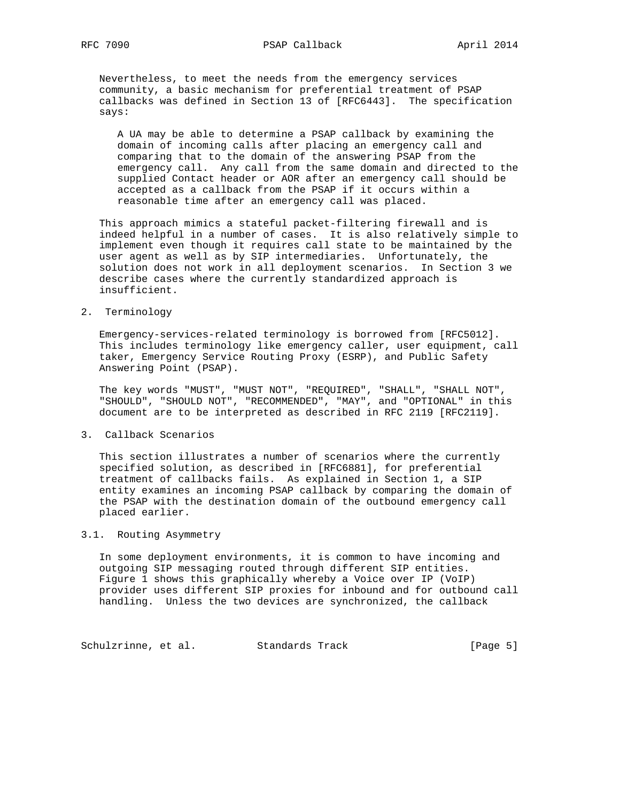Nevertheless, to meet the needs from the emergency services community, a basic mechanism for preferential treatment of PSAP callbacks was defined in Section 13 of [RFC6443]. The specification says:

 A UA may be able to determine a PSAP callback by examining the domain of incoming calls after placing an emergency call and comparing that to the domain of the answering PSAP from the emergency call. Any call from the same domain and directed to the supplied Contact header or AOR after an emergency call should be accepted as a callback from the PSAP if it occurs within a reasonable time after an emergency call was placed.

 This approach mimics a stateful packet-filtering firewall and is indeed helpful in a number of cases. It is also relatively simple to implement even though it requires call state to be maintained by the user agent as well as by SIP intermediaries. Unfortunately, the solution does not work in all deployment scenarios. In Section 3 we describe cases where the currently standardized approach is insufficient.

#### 2. Terminology

 Emergency-services-related terminology is borrowed from [RFC5012]. This includes terminology like emergency caller, user equipment, call taker, Emergency Service Routing Proxy (ESRP), and Public Safety Answering Point (PSAP).

 The key words "MUST", "MUST NOT", "REQUIRED", "SHALL", "SHALL NOT", "SHOULD", "SHOULD NOT", "RECOMMENDED", "MAY", and "OPTIONAL" in this document are to be interpreted as described in RFC 2119 [RFC2119].

### 3. Callback Scenarios

 This section illustrates a number of scenarios where the currently specified solution, as described in [RFC6881], for preferential treatment of callbacks fails. As explained in Section 1, a SIP entity examines an incoming PSAP callback by comparing the domain of the PSAP with the destination domain of the outbound emergency call placed earlier.

### 3.1. Routing Asymmetry

 In some deployment environments, it is common to have incoming and outgoing SIP messaging routed through different SIP entities. Figure 1 shows this graphically whereby a Voice over IP (VoIP) provider uses different SIP proxies for inbound and for outbound call handling. Unless the two devices are synchronized, the callback

Schulzrinne, et al. Standards Track [Page 5]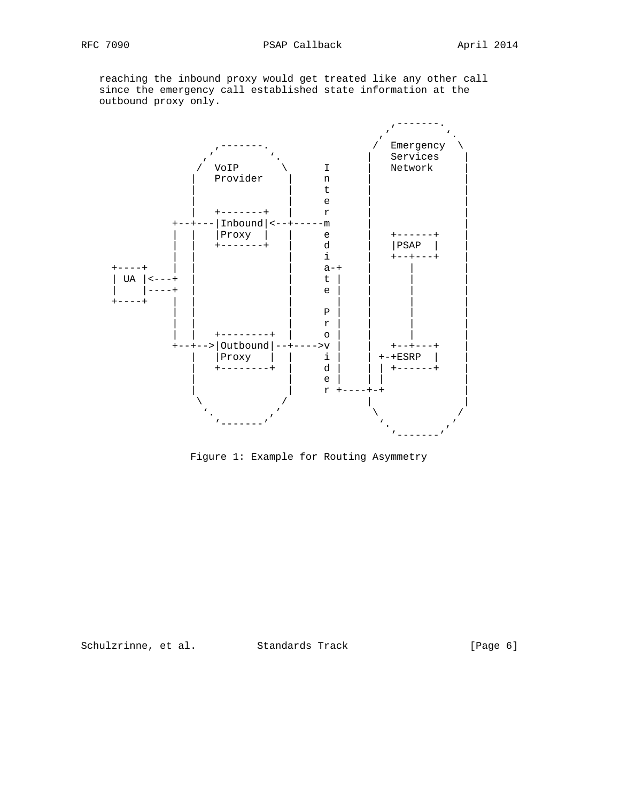reaching the inbound proxy would get treated like any other call since the emergency call established state information at the outbound proxy only.



Figure 1: Example for Routing Asymmetry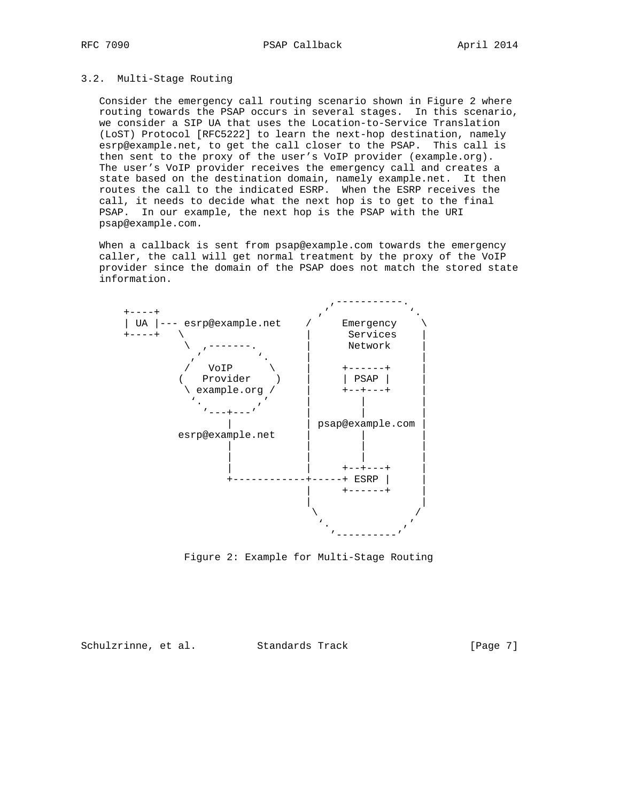#### 3.2. Multi-Stage Routing

 Consider the emergency call routing scenario shown in Figure 2 where routing towards the PSAP occurs in several stages. In this scenario, we consider a SIP UA that uses the Location-to-Service Translation (LoST) Protocol [RFC5222] to learn the next-hop destination, namely esrp@example.net, to get the call closer to the PSAP. This call is then sent to the proxy of the user's VoIP provider (example.org). The user's VoIP provider receives the emergency call and creates a state based on the destination domain, namely example.net. It then routes the call to the indicated ESRP. When the ESRP receives the call, it needs to decide what the next hop is to get to the final PSAP. In our example, the next hop is the PSAP with the URI psap@example.com.

 When a callback is sent from psap@example.com towards the emergency caller, the call will get normal treatment by the proxy of the VoIP provider since the domain of the PSAP does not match the stored state information.



Figure 2: Example for Multi-Stage Routing

Schulzrinne, et al. Standards Track [Page 7]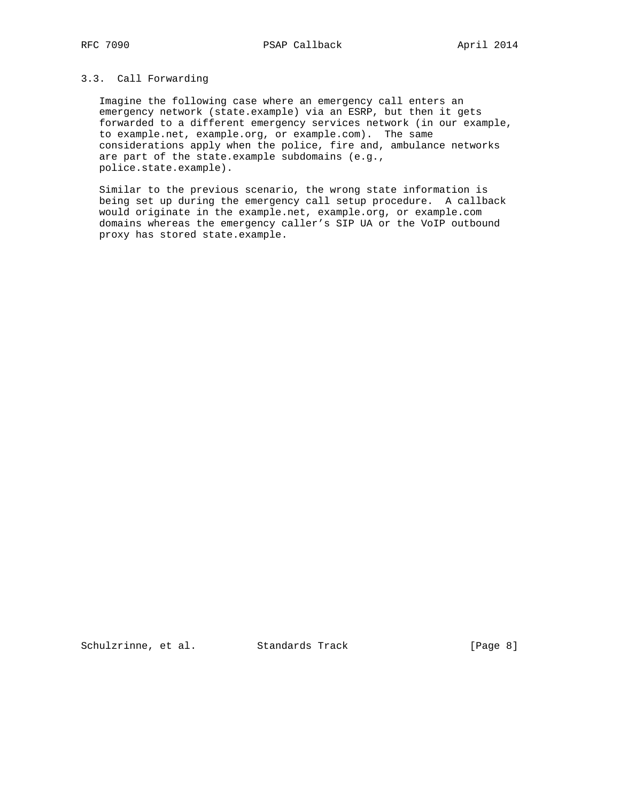## 3.3. Call Forwarding

 Imagine the following case where an emergency call enters an emergency network (state.example) via an ESRP, but then it gets forwarded to a different emergency services network (in our example, to example.net, example.org, or example.com). The same considerations apply when the police, fire and, ambulance networks are part of the state.example subdomains (e.g., police.state.example).

 Similar to the previous scenario, the wrong state information is being set up during the emergency call setup procedure. A callback would originate in the example.net, example.org, or example.com domains whereas the emergency caller's SIP UA or the VoIP outbound proxy has stored state.example.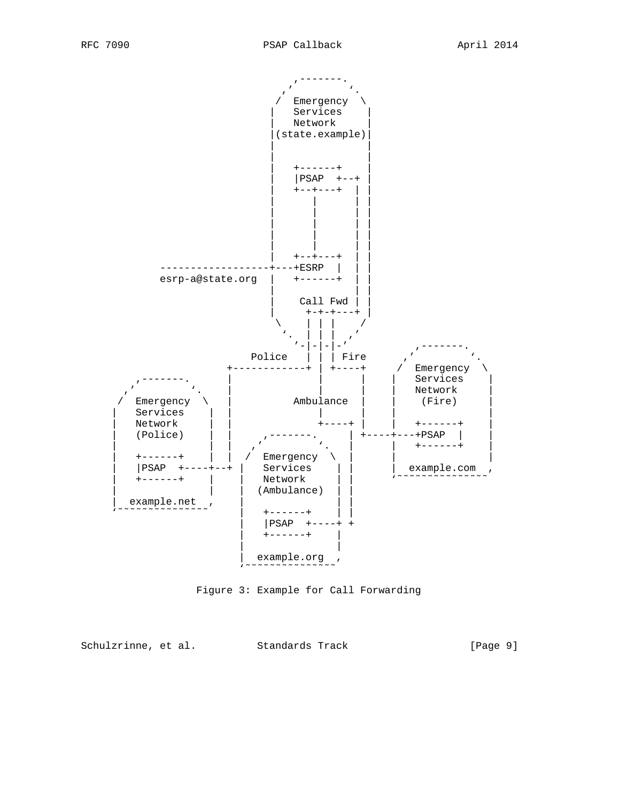

Figure 3: Example for Call Forwarding

Schulzrinne, et al. Standards Track [Page 9]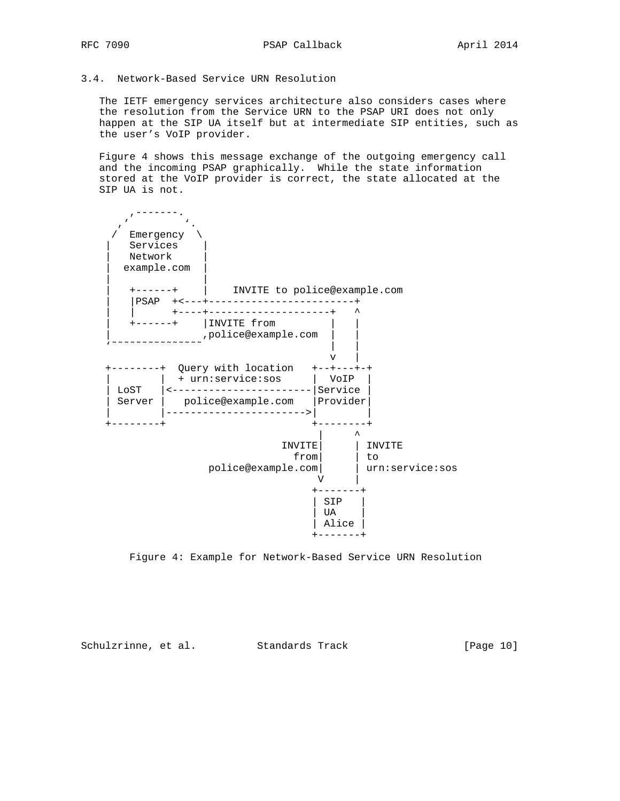## 3.4. Network-Based Service URN Resolution

 The IETF emergency services architecture also considers cases where the resolution from the Service URN to the PSAP URI does not only happen at the SIP UA itself but at intermediate SIP entities, such as the user's VoIP provider.

 Figure 4 shows this message exchange of the outgoing emergency call and the incoming PSAP graphically. While the state information stored at the VoIP provider is correct, the state allocated at the SIP UA is not.



Figure 4: Example for Network-Based Service URN Resolution

Schulzrinne, et al. Standards Track [Page 10]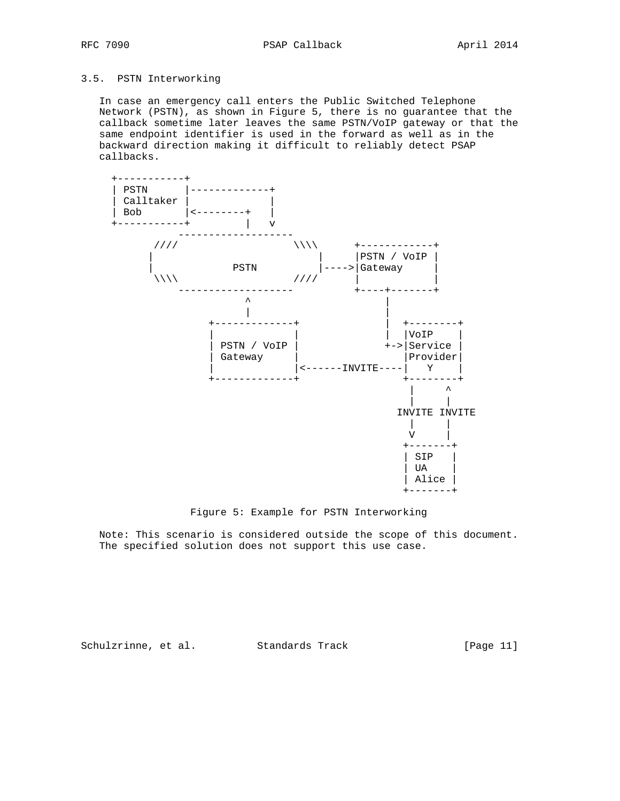## 3.5. PSTN Interworking

 In case an emergency call enters the Public Switched Telephone Network (PSTN), as shown in Figure 5, there is no guarantee that the callback sometime later leaves the same PSTN/VoIP gateway or that the same endpoint identifier is used in the forward as well as in the backward direction making it difficult to reliably detect PSAP callbacks.



Figure 5: Example for PSTN Interworking

 Note: This scenario is considered outside the scope of this document. The specified solution does not support this use case.

Schulzrinne, et al. Standards Track [Page 11]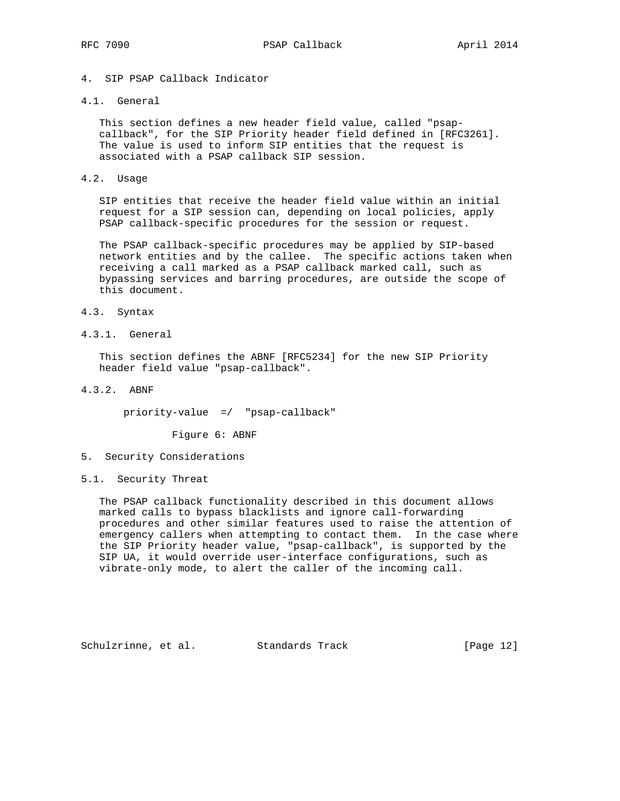## 4. SIP PSAP Callback Indicator

#### 4.1. General

 This section defines a new header field value, called "psap callback", for the SIP Priority header field defined in [RFC3261]. The value is used to inform SIP entities that the request is associated with a PSAP callback SIP session.

#### 4.2. Usage

 SIP entities that receive the header field value within an initial request for a SIP session can, depending on local policies, apply PSAP callback-specific procedures for the session or request.

 The PSAP callback-specific procedures may be applied by SIP-based network entities and by the callee. The specific actions taken when receiving a call marked as a PSAP callback marked call, such as bypassing services and barring procedures, are outside the scope of this document.

- 4.3. Syntax
- 4.3.1. General

 This section defines the ABNF [RFC5234] for the new SIP Priority header field value "psap-callback".

4.3.2. ABNF

priority-value =/ "psap-callback"

Figure 6: ABNF

- 5. Security Considerations
- 5.1. Security Threat

 The PSAP callback functionality described in this document allows marked calls to bypass blacklists and ignore call-forwarding procedures and other similar features used to raise the attention of emergency callers when attempting to contact them. In the case where the SIP Priority header value, "psap-callback", is supported by the SIP UA, it would override user-interface configurations, such as vibrate-only mode, to alert the caller of the incoming call.

Schulzrinne, et al. Standards Track [Page 12]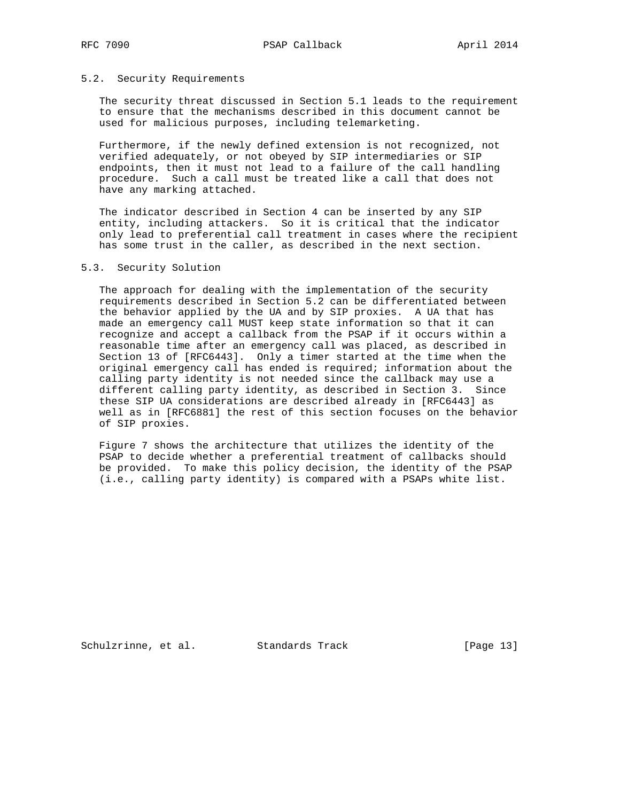#### 5.2. Security Requirements

 The security threat discussed in Section 5.1 leads to the requirement to ensure that the mechanisms described in this document cannot be used for malicious purposes, including telemarketing.

 Furthermore, if the newly defined extension is not recognized, not verified adequately, or not obeyed by SIP intermediaries or SIP endpoints, then it must not lead to a failure of the call handling procedure. Such a call must be treated like a call that does not have any marking attached.

 The indicator described in Section 4 can be inserted by any SIP entity, including attackers. So it is critical that the indicator only lead to preferential call treatment in cases where the recipient has some trust in the caller, as described in the next section.

### 5.3. Security Solution

 The approach for dealing with the implementation of the security requirements described in Section 5.2 can be differentiated between the behavior applied by the UA and by SIP proxies. A UA that has made an emergency call MUST keep state information so that it can recognize and accept a callback from the PSAP if it occurs within a reasonable time after an emergency call was placed, as described in Section 13 of [RFC6443]. Only a timer started at the time when the original emergency call has ended is required; information about the calling party identity is not needed since the callback may use a different calling party identity, as described in Section 3. Since these SIP UA considerations are described already in [RFC6443] as well as in [RFC6881] the rest of this section focuses on the behavior of SIP proxies.

 Figure 7 shows the architecture that utilizes the identity of the PSAP to decide whether a preferential treatment of callbacks should be provided. To make this policy decision, the identity of the PSAP (i.e., calling party identity) is compared with a PSAPs white list.

Schulzrinne, et al. Standards Track [Page 13]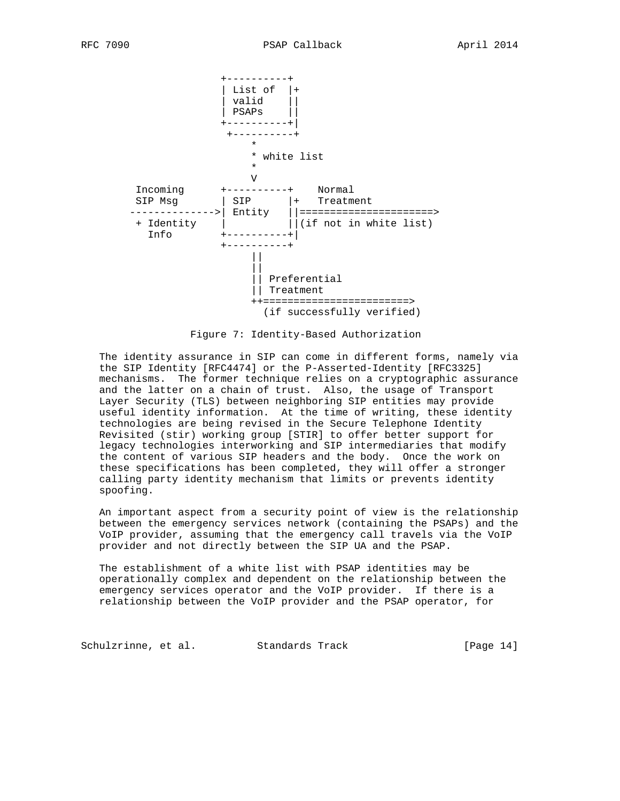

Figure 7: Identity-Based Authorization

 The identity assurance in SIP can come in different forms, namely via the SIP Identity [RFC4474] or the P-Asserted-Identity [RFC3325] mechanisms. The former technique relies on a cryptographic assurance and the latter on a chain of trust. Also, the usage of Transport Layer Security (TLS) between neighboring SIP entities may provide useful identity information. At the time of writing, these identity technologies are being revised in the Secure Telephone Identity Revisited (stir) working group [STIR] to offer better support for legacy technologies interworking and SIP intermediaries that modify the content of various SIP headers and the body. Once the work on these specifications has been completed, they will offer a stronger calling party identity mechanism that limits or prevents identity spoofing.

 An important aspect from a security point of view is the relationship between the emergency services network (containing the PSAPs) and the VoIP provider, assuming that the emergency call travels via the VoIP provider and not directly between the SIP UA and the PSAP.

 The establishment of a white list with PSAP identities may be operationally complex and dependent on the relationship between the emergency services operator and the VoIP provider. If there is a relationship between the VoIP provider and the PSAP operator, for

Schulzrinne, et al. Standards Track [Page 14]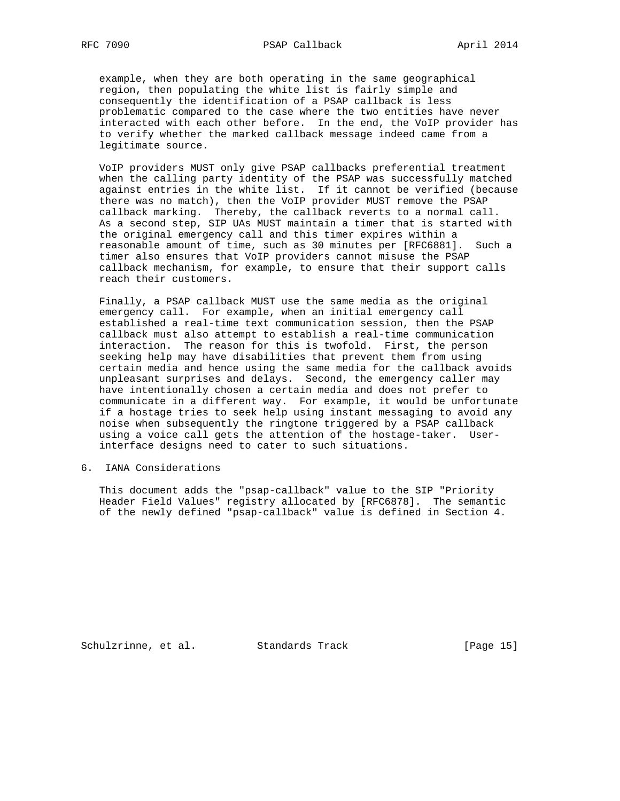example, when they are both operating in the same geographical region, then populating the white list is fairly simple and consequently the identification of a PSAP callback is less problematic compared to the case where the two entities have never interacted with each other before. In the end, the VoIP provider has to verify whether the marked callback message indeed came from a legitimate source.

 VoIP providers MUST only give PSAP callbacks preferential treatment when the calling party identity of the PSAP was successfully matched against entries in the white list. If it cannot be verified (because there was no match), then the VoIP provider MUST remove the PSAP callback marking. Thereby, the callback reverts to a normal call. As a second step, SIP UAs MUST maintain a timer that is started with the original emergency call and this timer expires within a reasonable amount of time, such as 30 minutes per [RFC6881]. Such a timer also ensures that VoIP providers cannot misuse the PSAP callback mechanism, for example, to ensure that their support calls reach their customers.

 Finally, a PSAP callback MUST use the same media as the original emergency call. For example, when an initial emergency call established a real-time text communication session, then the PSAP callback must also attempt to establish a real-time communication interaction. The reason for this is twofold. First, the person seeking help may have disabilities that prevent them from using certain media and hence using the same media for the callback avoids unpleasant surprises and delays. Second, the emergency caller may have intentionally chosen a certain media and does not prefer to communicate in a different way. For example, it would be unfortunate if a hostage tries to seek help using instant messaging to avoid any noise when subsequently the ringtone triggered by a PSAP callback using a voice call gets the attention of the hostage-taker. User interface designs need to cater to such situations.

6. IANA Considerations

 This document adds the "psap-callback" value to the SIP "Priority Header Field Values" registry allocated by [RFC6878]. The semantic of the newly defined "psap-callback" value is defined in Section 4.

Schulzrinne, et al. Standards Track [Page 15]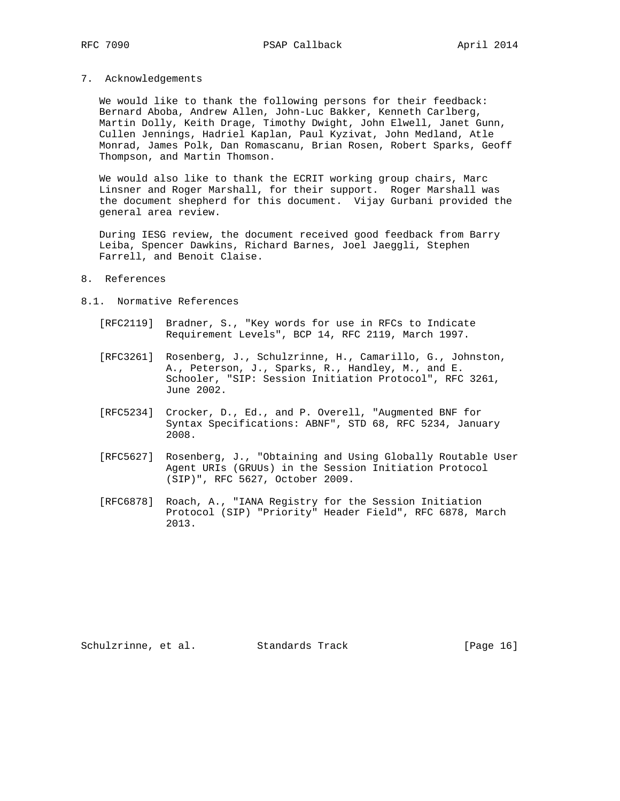7. Acknowledgements

 We would like to thank the following persons for their feedback: Bernard Aboba, Andrew Allen, John-Luc Bakker, Kenneth Carlberg, Martin Dolly, Keith Drage, Timothy Dwight, John Elwell, Janet Gunn, Cullen Jennings, Hadriel Kaplan, Paul Kyzivat, John Medland, Atle Monrad, James Polk, Dan Romascanu, Brian Rosen, Robert Sparks, Geoff Thompson, and Martin Thomson.

 We would also like to thank the ECRIT working group chairs, Marc Linsner and Roger Marshall, for their support. Roger Marshall was the document shepherd for this document. Vijay Gurbani provided the general area review.

 During IESG review, the document received good feedback from Barry Leiba, Spencer Dawkins, Richard Barnes, Joel Jaeggli, Stephen Farrell, and Benoit Claise.

### 8. References

- 8.1. Normative References
	- [RFC2119] Bradner, S., "Key words for use in RFCs to Indicate Requirement Levels", BCP 14, RFC 2119, March 1997.
	- [RFC3261] Rosenberg, J., Schulzrinne, H., Camarillo, G., Johnston, A., Peterson, J., Sparks, R., Handley, M., and E. Schooler, "SIP: Session Initiation Protocol", RFC 3261, June 2002.
	- [RFC5234] Crocker, D., Ed., and P. Overell, "Augmented BNF for Syntax Specifications: ABNF", STD 68, RFC 5234, January 2008.
	- [RFC5627] Rosenberg, J., "Obtaining and Using Globally Routable User Agent URIs (GRUUs) in the Session Initiation Protocol (SIP)", RFC 5627, October 2009.
	- [RFC6878] Roach, A., "IANA Registry for the Session Initiation Protocol (SIP) "Priority" Header Field", RFC 6878, March 2013.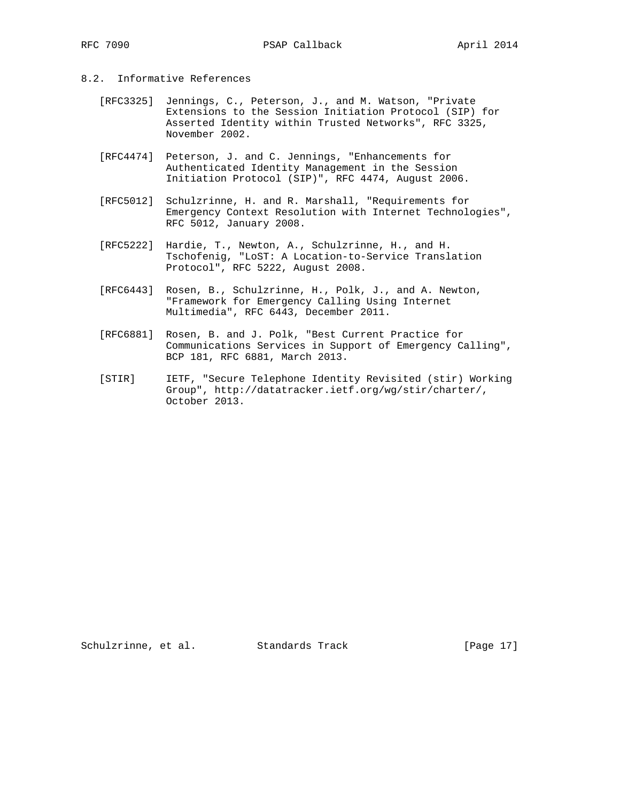- 8.2. Informative References
	- [RFC3325] Jennings, C., Peterson, J., and M. Watson, "Private Extensions to the Session Initiation Protocol (SIP) for Asserted Identity within Trusted Networks", RFC 3325, November 2002.
	- [RFC4474] Peterson, J. and C. Jennings, "Enhancements for Authenticated Identity Management in the Session Initiation Protocol (SIP)", RFC 4474, August 2006.
	- [RFC5012] Schulzrinne, H. and R. Marshall, "Requirements for Emergency Context Resolution with Internet Technologies", RFC 5012, January 2008.
	- [RFC5222] Hardie, T., Newton, A., Schulzrinne, H., and H. Tschofenig, "LoST: A Location-to-Service Translation Protocol", RFC 5222, August 2008.
	- [RFC6443] Rosen, B., Schulzrinne, H., Polk, J., and A. Newton, "Framework for Emergency Calling Using Internet Multimedia", RFC 6443, December 2011.
	- [RFC6881] Rosen, B. and J. Polk, "Best Current Practice for Communications Services in Support of Emergency Calling", BCP 181, RFC 6881, March 2013.
	- [STIR] IETF, "Secure Telephone Identity Revisited (stir) Working Group", http://datatracker.ietf.org/wg/stir/charter/, October 2013.